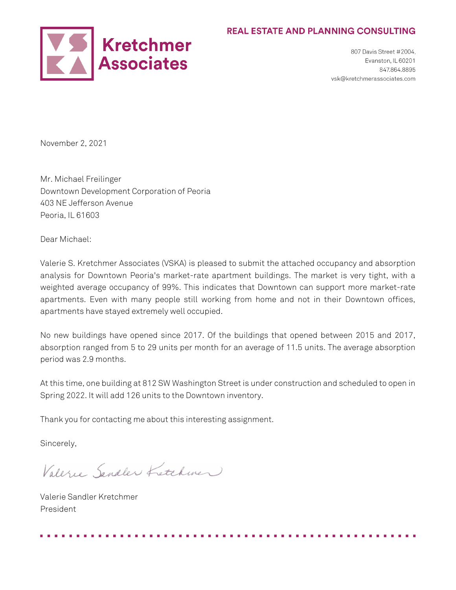## **REAL ESTATE AND PLANNING CONSULTING**



807 Davis Street #2004. Evanston, IL 60201 847.864.8895 vsk@kretchmerassociates.com

November 2, 2021

Mr. Michael Freilinger Downtown Development Corporation of Peoria 403 NE Jefferson Avenue Peoria, IL 61603

Dear Michael:

Valerie S. Kretchmer Associates (VSKA) is pleased to submit the attached occupancy and absorption analysis for Downtown Peoria's market-rate apartment buildings. The market is very tight, with a weighted average occupancy of 99%. This indicates that Downtown can support more market-rate apartments. Even with many people still working from home and not in their Downtown offices, apartments have stayed extremely well occupied.

No new buildings have opened since 2017. Of the buildings that opened between 2015 and 2017, absorption ranged from 5 to 29 units per month for an average of 11.5 units. The average absorption period was 2.9 months.

At this time, one building at 812 SW Washington Street is under construction and scheduled to open in Spring 2022. It will add 126 units to the Downtown inventory.

Thank you for contacting me about this interesting assignment.

Sincerely,

Valerie Sandler Fretchmen

Valerie Sandler Kretchmer President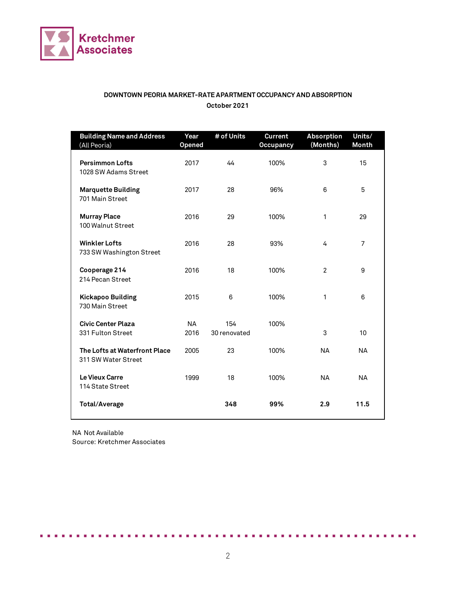

## **DOWNTOWN PEORIA MARKET-RATE APARTMENT OCCUPANCY AND ABSORPTION October 2021**

| <b>Building Name and Address</b><br>(All Peoria)     | Year<br><b>Opened</b> | # of Units          | <b>Current</b><br><b>Occupancy</b> | <b>Absorption</b><br>(Months) | Units/<br><b>Month</b> |
|------------------------------------------------------|-----------------------|---------------------|------------------------------------|-------------------------------|------------------------|
| <b>Persimmon Lofts</b><br>1028 SW Adams Street       | 2017                  | 44                  | 100%                               | 3                             | 15                     |
| <b>Marquette Building</b><br>701 Main Street         | 2017                  | 28                  | 96%                                | 6                             | 5                      |
| <b>Murray Place</b><br>100 Walnut Street             | 2016                  | 29                  | 100%                               | 1                             | 29                     |
| <b>Winkler Lofts</b><br>733 SW Washington Street     | 2016                  | 28                  | 93%                                | 4                             | $\overline{7}$         |
| Cooperage 214<br>214 Pecan Street                    | 2016                  | 18                  | 100%                               | $\overline{2}$                | 9                      |
| <b>Kickapoo Building</b><br>730 Main Street          | 2015                  | 6                   | 100%                               | 1                             | 6                      |
| <b>Civic Center Plaza</b><br>331 Fulton Street       | <b>NA</b><br>2016     | 154<br>30 renovated | 100%                               | 3                             | 10                     |
| The Lofts at Waterfront Place<br>311 SW Water Street | 2005                  | 23                  | 100%                               | <b>NA</b>                     | <b>NA</b>              |
| Le Vieux Carre<br>114 State Street                   | 1999                  | 18                  | 100%                               | <b>NA</b>                     | <b>NA</b>              |
| <b>Total/Average</b>                                 |                       | 348                 | 99%                                | 2.9                           | 11.5                   |

NA Not Available Source: Kretchmer Associates

. . . . .

. . . . .

ж. . . . . . . . . . . . . . .

. . . . . . . . .